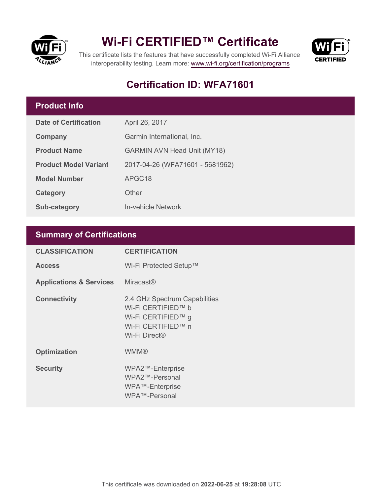

### **Wi-Fi CERTIFIED™ Certificate**



This certificate lists the features that have successfully completed Wi-Fi Alliance interoperability testing. Learn more:<www.wi-fi.org/certification/programs>

### **Certification ID: WFA71601**

#### **Product Info**

| <b>Date of Certification</b> | April 26, 2017                     |  |  |
|------------------------------|------------------------------------|--|--|
| Company                      | Garmin International, Inc.         |  |  |
| <b>Product Name</b>          | <b>GARMIN AVN Head Unit (MY18)</b> |  |  |
| <b>Product Model Variant</b> | 2017-04-26 (WFA71601 - 5681962)    |  |  |
| <b>Model Number</b>          | APGC18                             |  |  |
| <b>Category</b>              | Other                              |  |  |
| <b>Sub-category</b>          | <b>In-vehicle Network</b>          |  |  |

#### **Summary of Certifications**

| <b>CLASSIFICATION</b>              | <b>CERTIFICATION</b>                                                                                                         |
|------------------------------------|------------------------------------------------------------------------------------------------------------------------------|
| <b>Access</b>                      | Wi-Fi Protected Setup™                                                                                                       |
| <b>Applications &amp; Services</b> | <b>Miracast®</b>                                                                                                             |
| <b>Connectivity</b>                | 2.4 GHz Spectrum Capabilities<br>Wi-Fi CERTIFIED™ b<br>Wi-Fi CERTIFIED™ g<br>Wi-Fi CERTIFIED™ n<br>Wi-Fi Direct <sup>®</sup> |
| <b>Optimization</b>                | <b>WMM®</b>                                                                                                                  |
| <b>Security</b>                    | WPA2™-Enterprise<br>WPA2™-Personal<br>WPA™-Enterprise<br>WPA™-Personal                                                       |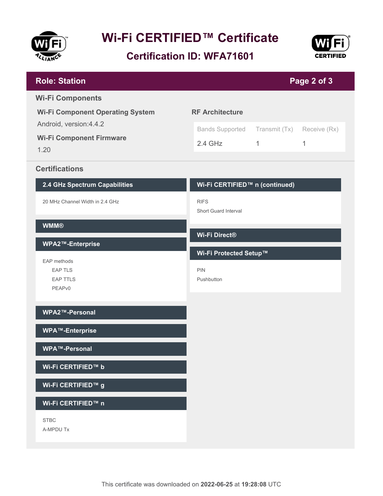

# **Wi-Fi CERTIFIED™ Certificate**

**Certification ID: WFA71601**



| <b>Role: Station</b>                                               | Page 2 of 3                                        |                               |                   |  |
|--------------------------------------------------------------------|----------------------------------------------------|-------------------------------|-------------------|--|
| <b>Wi-Fi Components</b><br><b>Wi-Fi Component Operating System</b> | <b>RF Architecture</b>                             |                               |                   |  |
| Android, version: 4.4.2<br><b>Wi-Fi Component Firmware</b><br>1.20 | <b>Bands Supported</b><br>$2.4$ GHz                | Transmit (Tx)<br>$\mathbf{1}$ | Receive (Rx)<br>1 |  |
| <b>Certifications</b>                                              |                                                    |                               |                   |  |
| 2.4 GHz Spectrum Capabilities                                      | Wi-Fi CERTIFIED™ n (continued)                     |                               |                   |  |
| 20 MHz Channel Width in 2.4 GHz                                    | <b>RIFS</b><br><b>Short Guard Interval</b>         |                               |                   |  |
| <b>WMM®</b>                                                        | Wi-Fi Direct®                                      |                               |                   |  |
| WPA2™-Enterprise                                                   |                                                    |                               |                   |  |
| EAP methods<br><b>EAP TLS</b><br><b>EAP TTLS</b><br>PEAPv0         | Wi-Fi Protected Setup™<br><b>PIN</b><br>Pushbutton |                               |                   |  |
| WPA2™-Personal                                                     |                                                    |                               |                   |  |
| <b>WPA™-Enterprise</b>                                             |                                                    |                               |                   |  |
| WPA™-Personal                                                      |                                                    |                               |                   |  |
| Wi-Fi CERTIFIED™ b                                                 |                                                    |                               |                   |  |
| Wi-Fi CERTIFIED™ g                                                 |                                                    |                               |                   |  |
| Wi-Fi CERTIFIED™ n                                                 |                                                    |                               |                   |  |
| <b>STBC</b><br>A-MPDU Tx                                           |                                                    |                               |                   |  |